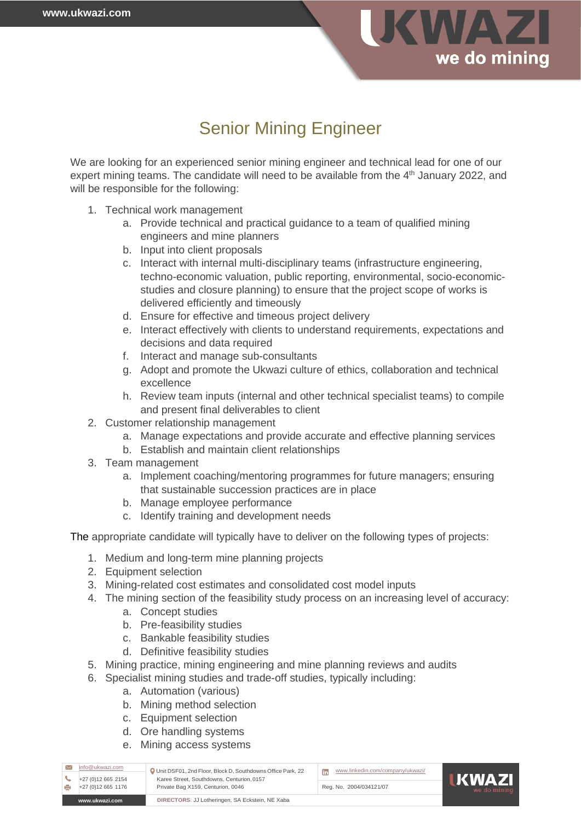

## Senior Mining Engineer

We are looking for an experienced senior mining engineer and technical lead for one of our expert mining teams. The candidate will need to be available from the 4<sup>th</sup> January 2022, and will be responsible for the following:

- 1. Technical work management
	- a. Provide technical and practical guidance to a team of qualified mining engineers and mine planners
	- b. Input into client proposals
	- c. Interact with internal multi-disciplinary teams (infrastructure engineering, techno-economic valuation, public reporting, environmental, socio-economicstudies and closure planning) to ensure that the project scope of works is delivered efficiently and timeously
	- d. Ensure for effective and timeous project delivery
	- e. Interact effectively with clients to understand requirements, expectations and decisions and data required
	- f. Interact and manage sub-consultants
	- g. Adopt and promote the Ukwazi culture of ethics, collaboration and technical excellence
	- h. Review team inputs (internal and other technical specialist teams) to compile and present final deliverables to client
- 2. Customer relationship management
	- a. Manage expectations and provide accurate and effective planning services
	- b. Establish and maintain client relationships
- 3. Team management
	- a. Implement coaching/mentoring programmes for future managers; ensuring that sustainable succession practices are in place
	- b. Manage employee performance
	- c. Identify training and development needs

The appropriate candidate will typically have to deliver on the following types of projects:

- 1. Medium and long-term mine planning projects
- 2. Equipment selection
- 3. Mining-related cost estimates and consolidated cost model inputs
- 4. The mining section of the feasibility study process on an increasing level of accuracy:
	- a. Concept studies
	- b. Pre-feasibility studies
	- c. Bankable feasibility studies
	- d. Definitive feasibility studies
- 5. Mining practice, mining engineering and mine planning reviews and audits
- 6. Specialist mining studies and trade-off studies, typically including:
	- a. Automation (various)
	- b. Mining method selection
	- c. Equipment selection
	- d. Ore handling systems
	- e. Mining access systems

| info@ukwazi.com<br>+27 (0) 12 665 2154                            | Unit DSF01, 2nd Floor, Block D, Southdowns Office Park, 22<br>Karee Street, Southdowns, Centurion, 0157<br>Private Bag X159, Centurion, 0046 | www.linkedin.com/company/ukwazi/ | <b>HKWAZI</b><br>we do mining |
|-------------------------------------------------------------------|----------------------------------------------------------------------------------------------------------------------------------------------|----------------------------------|-------------------------------|
| +27 (0) 12 665 1176                                               |                                                                                                                                              | Reg. No. 2004/034121/07          |                               |
| DIRECTORS: JJ Lotheringen, SA Eckstein, NE Xaba<br>www.ukwazi.com |                                                                                                                                              |                                  |                               |